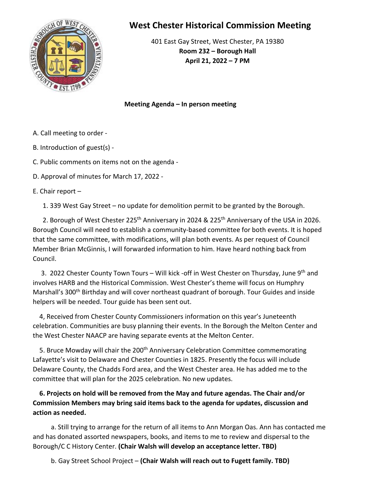

## **West Chester Historical Commission Meeting**

401 East Gay Street, West Chester, PA 19380 **Room 232 – Borough Hall April 21, 2022 – 7 PM**

**Meeting Agenda – In person meeting**

- A. Call meeting to order -
- B. Introduction of guest(s) -

C. Public comments on items not on the agenda -

D. Approval of minutes for March 17, 2022 -

E. Chair report –

1. 339 West Gay Street – no update for demolition permit to be granted by the Borough.

2. Borough of West Chester 225<sup>th</sup> Anniversary in 2024 & 225<sup>th</sup> Anniversary of the USA in 2026. Borough Council will need to establish a community-based committee for both events. It is hoped that the same committee, with modifications, will plan both events. As per request of Council Member Brian McGinnis, I will forwarded information to him. Have heard nothing back from Council.

3. 2022 Chester County Town Tours – Will kick -off in West Chester on Thursday, June 9th and involves HARB and the Historical Commission. West Chester's theme will focus on Humphry Marshall's 300<sup>th</sup> Birthday and will cover northeast quadrant of borough. Tour Guides and inside helpers will be needed. Tour guide has been sent out.

 4, Received from Chester County Commissioners information on this year's Juneteenth celebration. Communities are busy planning their events. In the Borough the Melton Center and the West Chester NAACP are having separate events at the Melton Center.

5. Bruce Mowday will chair the 200<sup>th</sup> Anniversary Celebration Committee commemorating Lafayette's visit to Delaware and Chester Counties in 1825. Presently the focus will include Delaware County, the Chadds Ford area, and the West Chester area. He has added me to the committee that will plan for the 2025 celebration. No new updates.

 **6. Projects on hold will be removed from the May and future agendas. The Chair and/or Commission Members may bring said items back to the agenda for updates, discussion and action as needed.** 

 a. Still trying to arrange for the return of all items to Ann Morgan Oas. Ann has contacted me and has donated assorted newspapers, books, and items to me to review and dispersal to the Borough/C C History Center. **(Chair Walsh will develop an acceptance letter. TBD)**

b. Gay Street School Project – **(Chair Walsh will reach out to Fugett family. TBD)**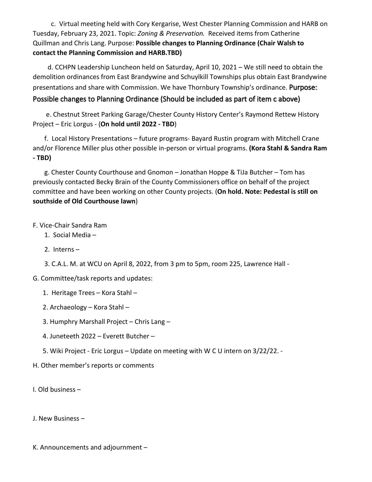c. Virtual meeting held with Cory Kergarise, West Chester Planning Commission and HARB on Tuesday, February 23, 2021. Topic: *Zoning & Preservation.* Received items from Catherine Quillman and Chris Lang. Purpose: **Possible changes to Planning Ordinance (Chair Walsh to contact the Planning Commission and HARB.TBD)**

 d. CCHPN Leadership Luncheon held on Saturday, April 10, 2021 – We still need to obtain the demolition ordinances from East Brandywine and Schuylkill Townships plus obtain East Brandywine presentations and share with Commission. We have Thornbury Township's ordinance. Purpose:

## Possible changes to Planning Ordinance (Should be included as part of item c above)

 e. Chestnut Street Parking Garage/Chester County History Center's Raymond Rettew History Project – Eric Lorgus - (**On hold until 2022 - TBD**)

 f. Local History Presentations – future programs- Bayard Rustin program with Mitchell Crane and/or Florence Miller plus other possible in-person or virtual programs. **(Kora Stahl & Sandra Ram - TBD)**

 g. Chester County Courthouse and Gnomon – Jonathan Hoppe & TiJa Butcher – Tom has previously contacted Becky Brain of the County Commissioners office on behalf of the project committee and have been working on other County projects. (**On hold. Note: Pedestal is still on southside of Old Courthouse lawn**)

## F. Vice-Chair Sandra Ram

- 1. Social Media –
- 2. Interns –

3. C.A.L. M. at WCU on April 8, 2022, from 3 pm to 5pm, room 225, Lawrence Hall -

- G. Committee/task reports and updates:
	- 1. Heritage Trees Kora Stahl –
	- 2. Archaeology Kora Stahl –
	- 3. Humphry Marshall Project Chris Lang –
	- 4. Juneteeth 2022 Everett Butcher –
	- 5. Wiki Project Eric Lorgus Update on meeting with W C U intern on 3/22/22. -
- H. Other member's reports or comments
- I. Old business –

J. New Business –

K. Announcements and adjournment –